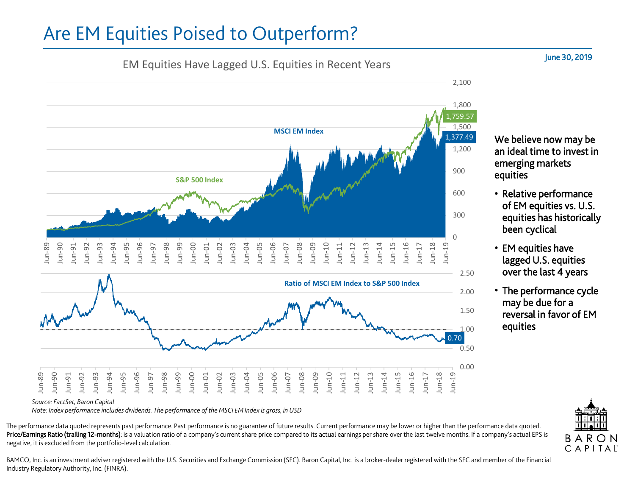## Are EM Equities Poised to Outperform?

## EM Equities Have Lagged U.S. Equities in Recent Years



*Note: Index performance includes dividends. The performance of the MSCI EM Index is gross, in USD*

The performance data quoted represents past performance. Past performance is no guarantee of future results. Current performance may be lower or higher than the performance data quoted. Price/Earnings Ratio (trailing 12-months): is a valuation ratio of a company's current share price compared to its actual earnings per share over the last twelve months. If a company's actual EPS is negative, it is excluded from the portfolio-level calculation.

BAMCO, Inc. is an investment adviser registered with the U.S. Securities and Exchange Commission (SEC). Baron Capital, Inc. is a broker-dealer registered with the SEC and member of the Financial Industry Regulatory Authority, Inc. (FINRA).



We believe now may be an ideal time to invest in emerging markets equities

- Relative performance of EM equities vs. U.S. equities has historically been cyclical
- EM equities have lagged U.S. equities over the last 4 years
- The performance cycle may be due for a reversal in favor of EM equities